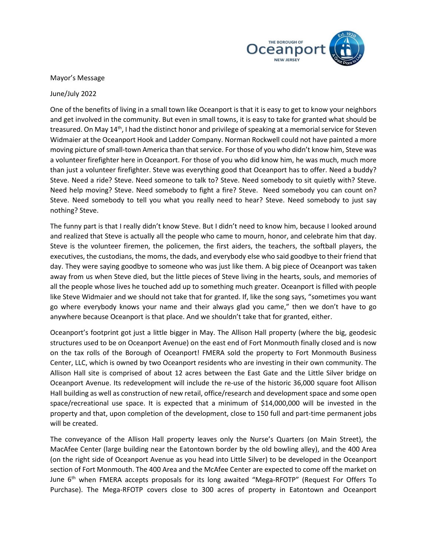

Mayor's Message

June/July 2022

One of the benefits of living in a small town like Oceanport is that it is easy to get to know your neighbors and get involved in the community. But even in small towns, it is easy to take for granted what should be treasured. On May 14<sup>th</sup>, I had the distinct honor and privilege of speaking at a memorial service for Steven Widmaier at the Oceanport Hook and Ladder Company. Norman Rockwell could not have painted a more moving picture of small-town America than that service. For those of you who didn't know him, Steve was a volunteer firefighter here in Oceanport. For those of you who did know him, he was much, much more than just a volunteer firefighter. Steve was everything good that Oceanport has to offer. Need a buddy? Steve. Need a ride? Steve. Need someone to talk to? Steve. Need somebody to sit quietly with? Steve. Need help moving? Steve. Need somebody to fight a fire? Steve. Need somebody you can count on? Steve. Need somebody to tell you what you really need to hear? Steve. Need somebody to just say nothing? Steve.

The funny part is that I really didn't know Steve. But I didn't need to know him, because I looked around and realized that Steve is actually all the people who came to mourn, honor, and celebrate him that day. Steve is the volunteer firemen, the policemen, the first aiders, the teachers, the softball players, the executives, the custodians, the moms, the dads, and everybody else who said goodbye to their friend that day. They were saying goodbye to someone who was just like them. A big piece of Oceanport was taken away from us when Steve died, but the little pieces of Steve living in the hearts, souls, and memories of all the people whose lives he touched add up to something much greater. Oceanport is filled with people like Steve Widmaier and we should not take that for granted. If, like the song says, "sometimes you want go where everybody knows your name and their always glad you came," then we don't have to go anywhere because Oceanport is that place. And we shouldn't take that for granted, either.

Oceanport's footprint got just a little bigger in May. The Allison Hall property (where the big, geodesic structures used to be on Oceanport Avenue) on the east end of Fort Monmouth finally closed and is now on the tax rolls of the Borough of Oceanport! FMERA sold the property to Fort Monmouth Business Center, LLC, which is owned by two Oceanport residents who are investing in their own community. The Allison Hall site is comprised of about 12 acres between the East Gate and the Little Silver bridge on Oceanport Avenue. Its redevelopment will include the re-use of the historic 36,000 square foot Allison Hall building as well as construction of new retail, office/research and development space and some open space/recreational use space. It is expected that a minimum of \$14,000,000 will be invested in the property and that, upon completion of the development, close to 150 full and part-time permanent jobs will be created.

The conveyance of the Allison Hall property leaves only the Nurse's Quarters (on Main Street), the MacAfee Center (large building near the Eatontown border by the old bowling alley), and the 400 Area (on the right side of Oceanport Avenue as you head into Little Silver) to be developed in the Oceanport section of Fort Monmouth. The 400 Area and the McAfee Center are expected to come off the market on June 6<sup>th</sup> when FMERA accepts proposals for its long awaited "Mega-RFOTP" (Request For Offers To Purchase). The Mega-RFOTP covers close to 300 acres of property in Eatontown and Oceanport